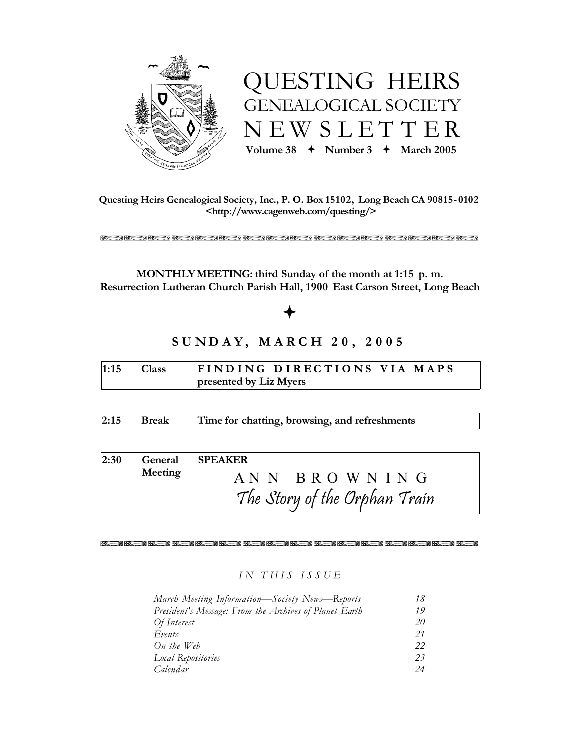



**Questing Heirs Genealogical Society, Inc., P. O. Box 15102, Long Beach CA 90815- 0102 <http://www.cagenweb.com/questing/>**

RRRRRRRRRRRRRRRR

**MONTHLYMEETING: third Sunday of the month at 1:15 p. m. Resurrection Lutheran Church Parish Hall, 1900 East Carson Street, Long Beach**

# ª

# **S U N D A Y , M A R C H 2 0 , 2 0 0 5**

| $1:15$ Class           |  | FINDING DIRECTIONS VIA MAPS |  |  |  |  |  |  |
|------------------------|--|-----------------------------|--|--|--|--|--|--|
| presented by Liz Myers |  |                             |  |  |  |  |  |  |

**2:15 Break Time for chatting, browsing, and refreshments**

| 2:30 |         | General SPEAKER               |
|------|---------|-------------------------------|
|      | Meeting | ANN BROWNING                  |
|      |         | The Story of the Orphan Train |

RRRRRRRRRRRRRRRR

# *I N T H I S I S S U E*

| March Meeting Information—Society News—Reports         | 18 |
|--------------------------------------------------------|----|
| President's Message: From the Archives of Planet Earth | 19 |
| Of Interest                                            | 20 |
| Events                                                 | 21 |
| On the Web                                             | 22 |
| Local Repositories                                     | 23 |
| Calendar                                               | 24 |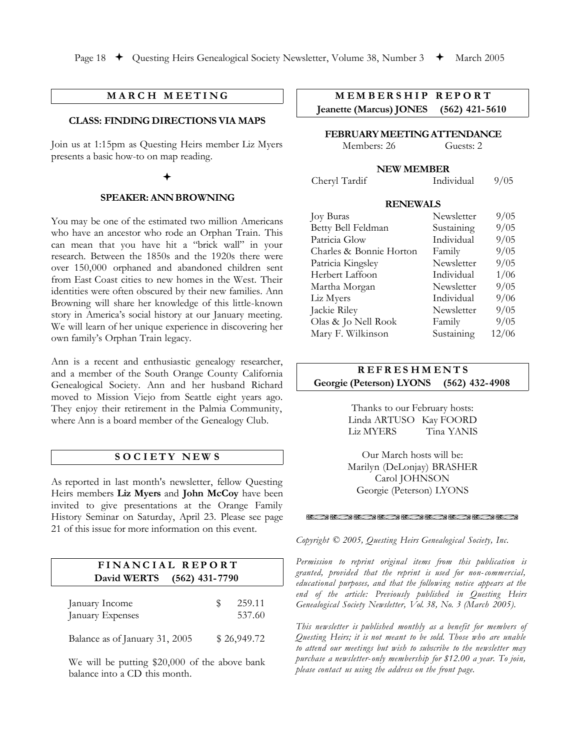# **M A R C H M E E T I N G**

### **CLASS: FINDING DIRECTIONS VIA MAPS**

Join us at 1:15pm as Questing Heirs member Liz Myers presents a basic how-to on map reading.

### $\bigstar$

### **SPEAKER: ANNBROWNING**

You may be one of the estimated two million Americans who have an ancestor who rode an Orphan Train. This can mean that you have hit a "brick wall" in your research. Between the 1850s and the 1920s there were over 150,000 orphaned and abandoned children sent from East Coast cities to new homes in the West. Their identities were often obscured by their new families. Ann Browning will share her knowledge of this little-known story in America's social history at our January meeting. We will learn of her unique experience in discovering her own family's Orphan Train legacy.

Ann is a recent and enthusiastic genealogy researcher, and a member of the South Orange County California Genealogical Society. Ann and her husband Richard moved to Mission Viejo from Seattle eight years ago. They enjoy their retirement in the Palmia Community, where Ann is a board member of the Genealogy Club.

### **S O C I E T Y N EW S**

As reported in last month's newsletter, fellow Questing Heirs members **Liz Myers** and **John McCoy** have been invited to give presentations at the Orange Family History Seminar on Saturday, April 23. Please see page 21 of this issue for more information on this event.

| FINANCIAL REPORT<br>David WERTS<br>$(562)$ 431-7790 |   |                  |  |  |  |
|-----------------------------------------------------|---|------------------|--|--|--|
|                                                     |   |                  |  |  |  |
| January Income<br>January Expenses                  | Ж | 259.11<br>537.60 |  |  |  |
| Balance as of January 31, 2005                      |   | \$26,949.72      |  |  |  |

We will be putting \$20,000 of the above bank balance into a CD this month.

# **M E M B E R S H I P R E P O R T Jeanette (Marcus) JONES (562) 421- 5610**

**FEBRUARYMEETINGATTENDANCE**

Members: 26 Guests: 2

### **NEW MEMBER**

Cheryl Tardif Individual 9/05

#### **RENEWALS**

| <b>Joy Buras</b>        | Newsletter | 9/05  |
|-------------------------|------------|-------|
| Betty Bell Feldman      | Sustaining | 9/05  |
| Patricia Glow           | Individual | 9/05  |
| Charles & Bonnie Horton | Family     | 9/05  |
| Patricia Kingsley       | Newsletter | 9/05  |
| Herbert Laffoon         | Individual | 1/06  |
| Martha Morgan           | Newsletter | 9/05  |
| Liz Myers               | Individual | 9/06  |
| Jackie Riley            | Newsletter | 9/05  |
| Olas & Jo Nell Rook     | Family     | 9/05  |
| Mary F. Wilkinson       | Sustaining | 12/06 |

# **R E F R E S H M E N T S Georgie (Peterson) LYONS (562) 432-4908**

Thanks to our February hosts: Linda ARTUSO Kay FOORD Liz MYERS Tina YANIS

Our March hosts will be: Marilyn (DeLonjay) BRASHER Carol JOHNSON Georgie (Peterson) LYONS

#### RRARR RRRRRRRRRRRRRRRRRRRRRRRRRRR

*Copyright © 2005, Questing Heirs Genealogical Society, Inc.*

*Permission to reprint original items from this publication is granted, provided that the reprint is used for non- commercial, educational purposes, and that the following notice appears at the end of the article: Previously published in Questing Heirs Genealogical Society Newsletter, Vol. 38, No. 3 (March 2005).*

*This newsletter is published monthly as a benefit for members of Questing Heirs; it is not meant to be sold. Those who are unable to attend our meetings but wish to subscribe to the newsletter may purchase a newsletter-only membership for \$12.00 a year. To join, please contact us using the address on the front page.*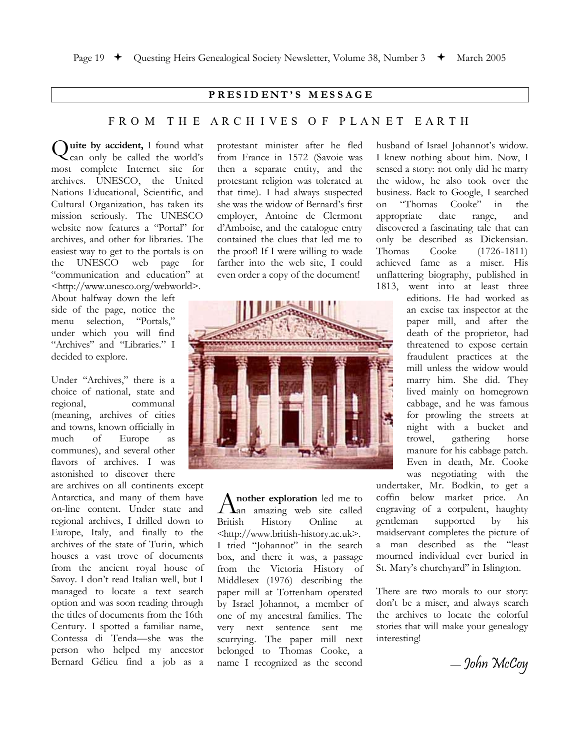### **P R E S I D E N T ' S M E S S A G E**

# F R O M T H E A R C H I V E S O F P L A N E T E A R T H

**Quite by accident,** I found what can only be called the world's can only be called the world's most complete Internet site for archives. UNESCO, the United Nations Educational, Scientific, and Cultural Organization, has taken its mission seriously. The UNESCO website now features a "Portal" for archives, and other for libraries. The easiest way to get to the portals is on the UNESCO web page for "communication and education" at <http://www.unesco.org/webworld>.

About halfway down the left side of the page, notice the menu selection, "Portals," under which you will find "Archives" and "Libraries." I decided to explore.

Under "Archives," there is a choice of national, state and regional, communal (meaning, archives of cities and towns, known officially in much of Europe as communes), and several other flavors of archives. I was astonished to discover there

are archives on all continents except Antarctica, and many of them have on-line content. Under state and regional archives, I drilled down to Europe, Italy, and finally to the archives of the state of Turin, which houses a vast trove of documents from the ancient royal house of Savoy. I don't read Italian well, but I managed to locate a text search option and was soon reading through the titles of documents from the 16th Century. I spotted a familiar name, Contessa di Tenda—she was the person who helped my ancestor Bernard Gélieu find a job as a

protestant minister after he fled from France in 1572 (Savoie was then a separate entity, and the protestant religion was tolerated at that time). I had always suspected she was the widow of Bernard's first employer, Antoine de Clermont d'Amboise, and the catalogue entry contained the clues that led me to the proof! If I were willing to wade farther into the web site, I could even order a copy of the document!



**nother exploration** led me to Another exploration led me to<br>alled an amazing web site called British History Online at <http://www.british-history.ac.uk>. I tried "Johannot" in the search box, and there it was, a passage from the Victoria History of Middlesex (1976) describing the paper mill at Tottenham operated by Israel Johannot, a member of one of my ancestral families. The very next sentence sent me scurrying. The paper mill next belonged to Thomas Cooke, a name I recognized as the second

husband of Israel Johannot's widow. I knew nothing about him. Now, I sensed a story: not only did he marry the widow, he also took over the business. Back to Google, I searched<br>on "Thomas Cooke" in the on "Thomas Cooke" in the appropriate date range, and discovered a fascinating tale that can only be described as Dickensian.<br>Thomas Cooke (1726-1811) Cooke (1726-1811) achieved fame as a miser. His unflattering biography, published in

1813, went into at least three editions. He had worked as an excise tax inspector at the paper mill, and after the death of the proprietor, had threatened to expose certain fraudulent practices at the mill unless the widow would marry him. She did. They lived mainly on homegrown cabbage, and he was famous for prowling the streets at night with a bucket and trowel, gathering horse manure for his cabbage patch. Even in death, Mr. Cooke was negotiating with the

undertaker, Mr. Bodkin, to get a coffin below market price. An engraving of a corpulent, haughty gentleman supported by his maidservant completes the picture of a man described as the "least mourned individual ever buried in St. Mary's churchyard" in Islington.

There are two morals to our story: don't be a miser, and always search the archives to locate the colorful stories that will make your genealogy interesting!

*—* John McCoy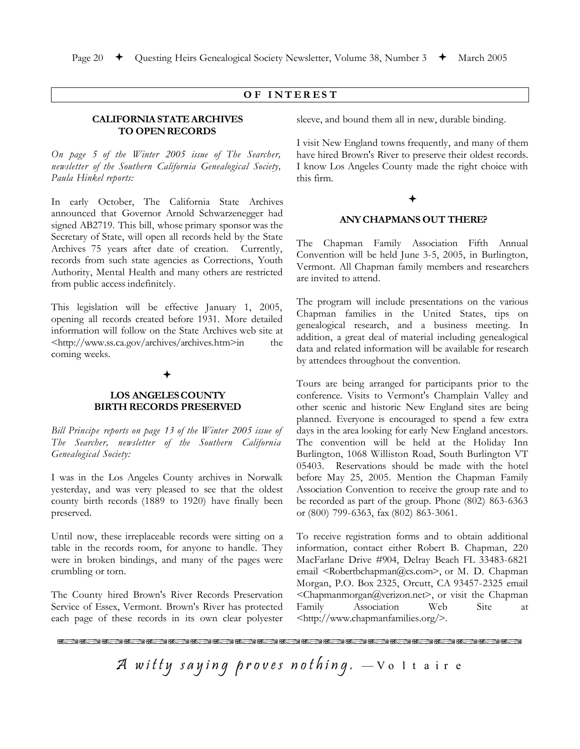# **O F I N T E R E S T**

### **CALIFORNIA STATEARCHIVES TO OPENRECORDS**

*On page 5 of the Winter 2005 issue of The Searcher, newsletter of the Southern California Genealogical Society, Paula Hinkel reports:*

In early October, The California State Archives announced that Governor Arnold Schwarzenegger had signed AB2719. This bill, whose primary sponsor was the Secretary of State, will open all records held by the State Archives 75 years after date of creation. Currently, records from such state agencies as Corrections, Youth Authority, Mental Health and many others are restricted from public access indefinitely.

This legislation will be effective January 1, 2005, opening all records created before 1931. More detailed information will follow on the State Archives web site at <http://www.ss.ca.gov/archives/archives.htm>in the coming weeks.

### $\bigstar$

### **LOS ANGELESCOUNTY BIRTH RECORDS PRESERVED**

*Bill Principe reports on page 13 of the Winter 2005 issue of The Searcher, newsletter of the Southern California Genealogical Society:*

I was in the Los Angeles County archives in Norwalk yesterday, and was very pleased to see that the oldest county birth records (1889 to 1920) have finally been preserved.

Until now, these irreplaceable records were sitting on a table in the records room, for anyone to handle. They were in broken bindings, and many of the pages were crumbling or torn.

The County hired Brown's River Records Preservation Service of Essex, Vermont. Brown's River has protected each page of these records in its own clear polyester

sleeve, and bound them all in new, durable binding.

I visit New England towns frequently, and many of them have hired Brown's River to preserve their oldest records. I know Los Angeles County made the right choice with this firm.

### $\bigstar$

### **ANY CHAPMANS OUT THERE?**

The Chapman Family Association Fifth Annual Convention will be held June 3-5, 2005, in Burlington, Vermont. All Chapman family members and researchers are invited to attend.

The program will include presentations on the various Chapman families in the United States, tips on genealogical research, and a business meeting. In addition, a great deal of material including genealogical data and related information will be available for research by attendees throughout the convention.

Tours are being arranged for participants prior to the conference. Visits to Vermont's Champlain Valley and other scenic and historic New England sites are being planned. Everyone is encouraged to spend a few extra days in the area looking for early New England ancestors. The convention will be held at the Holiday Inn Burlington, 1068 Williston Road, South Burlington VT 05403. Reservations should be made with the hotel before May 25, 2005. Mention the Chapman Family Association Convention to receive the group rate and to be recorded as part of the group. Phone (802) 863-6363 or (800) 799-6363, fax (802) 863-3061.

To receive registration forms and to obtain additional information, contact either Robert B. Chapman, 220 MacFarlane Drive #904, Delray Beach FL 33483-6821 email <Robertbchapman@cs.com>, or M. D. Chapman Morgan, P.O. Box 2325, Orcutt, CA 93457-2325 email <Chapmanmorgan@verizon.net>, or visit the Chapman Family Association Web Site at <http://www.chapmanfamilies.org/>.

RRRRRRRRRRRRRRRRRRRRR

A witty saying proves nothing.  $-$  V o I t a ir e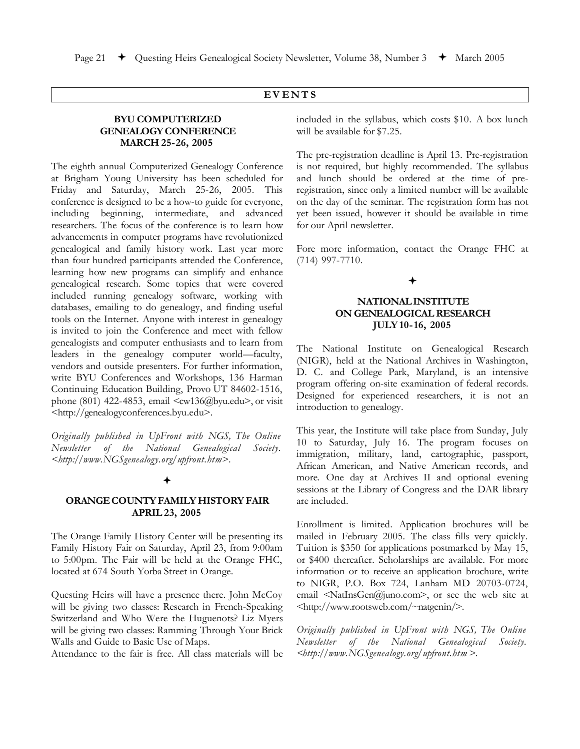# **E V E N T S**

### **BYU COMPUTERIZED GENEALOGYCONFERENCE MARCH 25-26, 2005**

The eighth annual Computerized Genealogy Conference at Brigham Young University has been scheduled for Friday and Saturday, March 25-26, 2005. This conference is designed to be a how-to guide for everyone, including beginning, intermediate, and advanced researchers. The focus of the conference is to learn how advancements in computer programs have revolutionized genealogical and family history work. Last year more than four hundred participants attended the Conference, learning how new programs can simplify and enhance genealogical research. Some topics that were covered included running genealogy software, working with databases, emailing to do genealogy, and finding useful tools on the Internet. Anyone with interest in genealogy is invited to join the Conference and meet with fellow genealogists and computer enthusiasts and to learn from leaders in the genealogy computer world—faculty, vendors and outside presenters. For further information, write BYU Conferences and Workshops, 136 Harman Continuing Education Building, Provo UT 84602-1516, phone (801) 422-4853, email  $\langle \text{cw136}(\hat{\textit{a}})$  byu.edu $\rangle$ , or visit <http://genealogyconferences.byu.edu>.

*Originally published in UpFront with NGS, The Online Newsletter of the National Genealogical Society. <http://www.NGSgenealogy.org/upfront.htm>.*

### ª

### **ORANGE COUNTYFAMILY HISTORYFAIR APRIL 23, 2005**

The Orange Family History Center will be presenting its Family History Fair on Saturday, April 23, from 9:00am to 5:00pm. The Fair will be held at the Orange FHC, located at 674 South Yorba Street in Orange.

Questing Heirs will have a presence there. John McCoy will be giving two classes: Research in French-Speaking Switzerland and Who Were the Huguenots? Liz Myers will be giving two classes: Ramming Through Your Brick Walls and Guide to Basic Use of Maps.

Attendance to the fair is free. All class materials will be

included in the syllabus, which costs \$10. A box lunch will be available for \$7.25.

The pre-registration deadline is April 13. Pre-registration is not required, but highly recommended. The syllabus and lunch should be ordered at the time of preregistration, since only a limited number will be available on the day of the seminar. The registration form has not yet been issued, however it should be available in time for our April newsletter.

Fore more information, contact the Orange FHC at (714) 997-7710.

 $\bigstar$ 

# **NATIONAL INSTITUTE ON GENEALOGICALRESEARCH JULY 10-16, 2005**

The National Institute on Genealogical Research (NIGR), held at the National Archives in Washington, D. C. and College Park, Maryland, is an intensive program offering on-site examination of federal records. Designed for experienced researchers, it is not an introduction to genealogy.

This year, the Institute will take place from Sunday, July 10 to Saturday, July 16. The program focuses on immigration, military, land, cartographic, passport, African American, and Native American records, and more. One day at Archives II and optional evening sessions at the Library of Congress and the DAR library are included.

Enrollment is limited. Application brochures will be mailed in February 2005. The class fills very quickly. Tuition is \$350 for applications postmarked by May 15, or \$400 thereafter. Scholarships are available. For more information or to receive an application brochure, write to NIGR, P.O. Box 724, Lanham MD 20703-0724, email <NatInsGen@juno.com>, or see the web site at <http://www.rootsweb.com/~natgenin/>.

*Originally published in UpFront with NGS, The Online Newsletter of the National Genealogical Society. <http://www.NGSgenealogy.org/upfront.htm >.*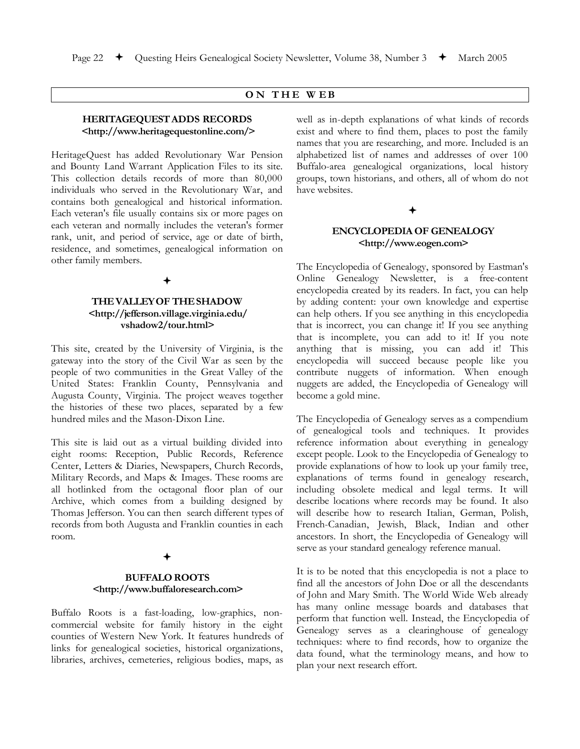### **O N T H E W E B**

### **HERITAGEQUESTADDS RECORDS <http://www.heritagequestonline.com/>**

HeritageQuest has added Revolutionary War Pension and Bounty Land Warrant Application Files to its site. This collection details records of more than 80,000 individuals who served in the Revolutionary War, and contains both genealogical and historical information. Each veteran's file usually contains six or more pages on each veteran and normally includes the veteran's former rank, unit, and period of service, age or date of birth, residence, and sometimes, genealogical information on other family members.

### ª

### **THEVALLEYOF THESHADOW <http://jefferson.village.virginia.edu/ vshadow2/tour.html>**

This site, created by the University of Virginia, is the gateway into the story of the Civil War as seen by the people of two communities in the Great Valley of the United States: Franklin County, Pennsylvania and Augusta County, Virginia. The project weaves together the histories of these two places, separated by a few hundred miles and the Mason-Dixon Line.

This site is laid out as a virtual building divided into eight rooms: Reception, Public Records, Reference Center, Letters & Diaries, Newspapers, Church Records, Military Records, and Maps & Images. These rooms are all hotlinked from the octagonal floor plan of our Archive, which comes from a building designed by Thomas Jefferson. You can then search different types of records from both Augusta and Franklin counties in each room.

### ª

### **BUFFALOROOTS <http://www.buffaloresearch.com>**

Buffalo Roots is a fast-loading, low-graphics, noncommercial website for family history in the eight counties of Western New York. It features hundreds of links for genealogical societies, historical organizations, libraries, archives, cemeteries, religious bodies, maps, as well as in-depth explanations of what kinds of records exist and where to find them, places to post the family names that you are researching, and more. Included is an alphabetized list of names and addresses of over 100 Buffalo-area genealogical organizations, local history groups, town historians, and others, all of whom do not have websites.

### $\bigstar$

### **ENCYCLOPEDIA OF GENEALOGY <http://www.eogen.com>**

The Encyclopedia of Genealogy, sponsored by Eastman's Online Genealogy Newsletter, is a free-content encyclopedia created by its readers. In fact, you can help by adding content: your own knowledge and expertise can help others. If you see anything in this encyclopedia that is incorrect, you can change it! If you see anything that is incomplete, you can add to it! If you note anything that is missing, you can add it! This encyclopedia will succeed because people like you contribute nuggets of information. When enough nuggets are added, the Encyclopedia of Genealogy will become a gold mine.

The Encyclopedia of Genealogy serves as a compendium of genealogical tools and techniques. It provides reference information about everything in genealogy except people. Look to the Encyclopedia of Genealogy to provide explanations of how to look up your family tree, explanations of terms found in genealogy research, including obsolete medical and legal terms. It will describe locations where records may be found. It also will describe how to research Italian, German, Polish, French-Canadian, Jewish, Black, Indian and other ancestors. In short, the Encyclopedia of Genealogy will serve as your standard genealogy reference manual.

It is to be noted that this encyclopedia is not a place to find all the ancestors of John Doe or all the descendants of John and Mary Smith. The World Wide Web already has many online message boards and databases that perform that function well. Instead, the Encyclopedia of Genealogy serves as a clearinghouse of genealogy techniques: where to find records, how to organize the data found, what the terminology means, and how to plan your next research effort.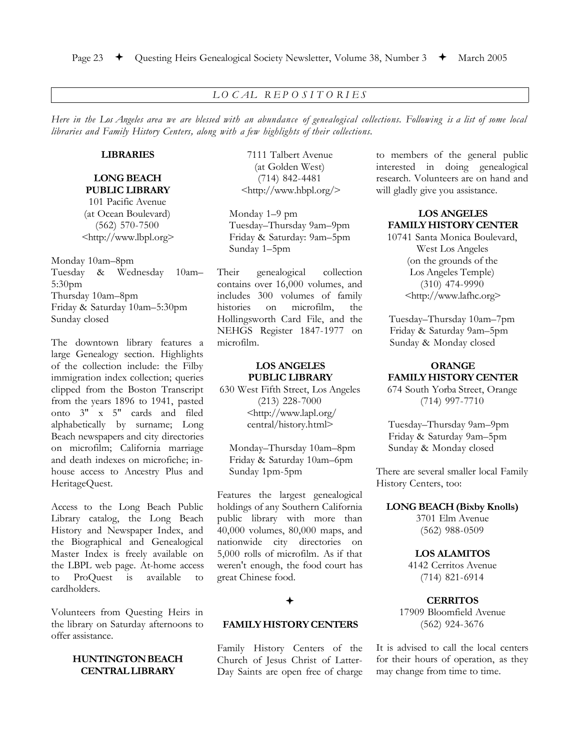# *L O C AL R E P O S I T O R I E S*

Here in the Los Angeles area we are blessed with an abundance of genealogical collections. Following is a list of some local *libraries and Family History Centers, along with a few highlights of their collections.*

### **LIBRARIES**

**LONG BEACH PUBLIC LIBRARY** 101 Pacific Avenue (at Ocean Boulevard) (562) 570-7500 <http://www.lbpl.org>

Monday 10am–8pm Tuesday & Wednesday 10am– 5:30pm Thursday 10am–8pm Friday & Saturday 10am–5:30pm Sunday closed

The downtown library features a large Genealogy section. Highlights of the collection include: the Filby immigration index collection; queries clipped from the Boston Transcript from the years 1896 to 1941, pasted onto 3" x 5" cards and filed alphabetically by surname; Long Beach newspapers and city directories on microfilm; California marriage and death indexes on microfiche; inhouse access to Ancestry Plus and HeritageQuest.

Access to the Long Beach Public Library catalog, the Long Beach History and Newspaper Index, and the Biographical and Genealogical Master Index is freely available on the LBPL web page. At-home access to ProQuest is available to cardholders.

Volunteers from Questing Heirs in the library on Saturday afternoons to offer assistance.

### **HUNTINGTONBEACH CENTRALLIBRARY**

7111 Talbert Avenue (at Golden West) (714) 842-4481 <http://www.hbpl.org/>

Monday 1–9 pm Tuesday–Thursday 9am–9pm Friday & Saturday: 9am–5pm Sunday 1–5pm

Their genealogical collection contains over 16,000 volumes, and includes 300 volumes of family histories on microfilm, the Hollingsworth Card File, and the NEHGS Register 1847-1977 on microfilm.

# **LOS ANGELES PUBLIC LIBRARY**

630 West Fifth Street, Los Angeles (213) 228-7000 <http://www.lapl.org/ central/history.html>

Monday–Thursday 10am–8pm Friday & Saturday 10am–6pm Sunday 1pm-5pm

Features the largest genealogical holdings of any Southern California public library with more than 40,000 volumes, 80,000 maps, and nationwide city directories on 5,000 rolls of microfilm. As if that weren't enough, the food court has great Chinese food.

### $\bigstar$

### **FAMILYHISTORYCENTERS**

Family History Centers of the Church of Jesus Christ of Latter-Day Saints are open free of charge to members of the general public interested in doing genealogical research. Volunteers are on hand and will gladly give you assistance.

### **LOS ANGELES FAMILY HISTORYCENTER**

10741 Santa Monica Boulevard, West Los Angeles (on the grounds of the Los Angeles Temple) (310) 474-9990 <http://www.lafhc.org>

Tuesday–Thursday 10am–7pm Friday & Saturday 9am–5pm Sunday & Monday closed

# **ORANGE FAMILY HISTORYCENTER**

674 South Yorba Street, Orange (714) 997-7710

Tuesday–Thursday 9am–9pm Friday & Saturday 9am–5pm Sunday & Monday closed

There are several smaller local Family History Centers, too:

#### **LONG BEACH (Bixby Knolls)**

3701 Elm Avenue (562) 988-0509

### **LOS ALAMITOS**

4142 Cerritos Avenue (714) 821-6914

### **CERRITOS**

17909 Bloomfield Avenue (562) 924-3676

It is advised to call the local centers for their hours of operation, as they may change from time to time.